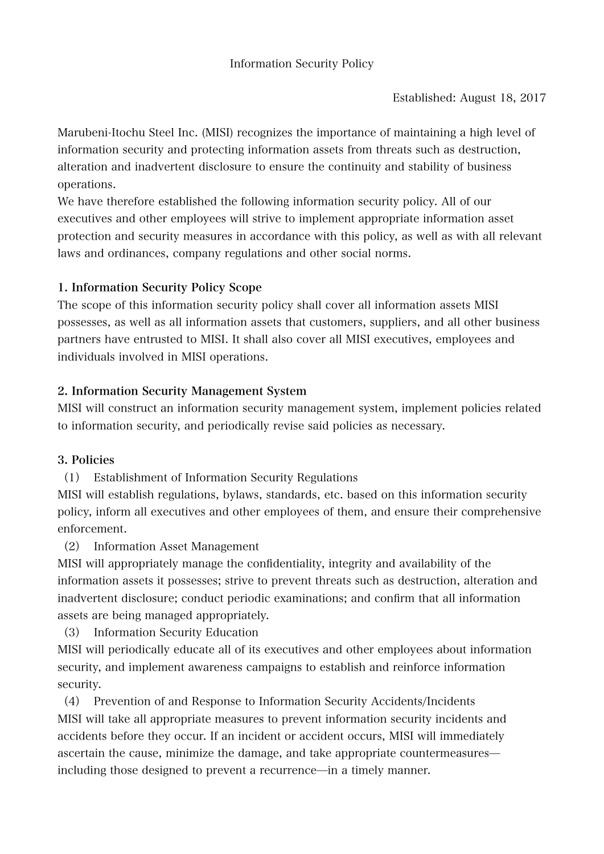Marubeni-Itochu Steel Inc. (MISI) recognizes the importance of maintaining a high level of information security and protecting information assets from threats such as destruction, alteration and inadvertent disclosure to ensure the continuity and stability of business operations.

We have therefore established the following information security policy. All of our executives and other employees will strive to implement appropriate information asset protection and security measures in accordance with this policy, as well as with all relevant laws and ordinances, company regulations and other social norms.

## 1. Information Security Policy Scope

The scope of this information security policy shall cover all information assets MISI possesses, as well as all information assets that customers, suppliers, and all other business partners have entrusted to MISI. It shall also cover all MISI executives, employees and individuals involved in MISI operations.

## 2. Information Security Management System

MISI will construct an information security management system, implement policies related to information security, and periodically revise said policies as necessary.

## 3. Policies

(1) Establishment of Information Security Regulations

MISI will establish regulations, bylaws, standards, etc. based on this information security policy, inform all executives and other employees of them, and ensure their comprehensive enforcement.

(2) Information Asset Management

MISI will appropriately manage the confidentiality, integrity and availability of the information assets it possesses; strive to prevent threats such as destruction, alteration and inadvertent disclosure; conduct periodic examinations; and confirm that all information assets are being managed appropriately.

(3) Information Security Education

MISI will periodically educate all of its executives and other employees about information security, and implement awareness campaigns to establish and reinforce information security.

(4) Prevention of and Response to Information Security Accidents/Incidents MISI will take all appropriate measures to prevent information security incidents and accidents before they occur. If an incident or accident occurs, MISI will immediately ascertain the cause, minimize the damage, and take appropriate countermeasures̶ including those designed to prevent a recurrence—in a timely manner.